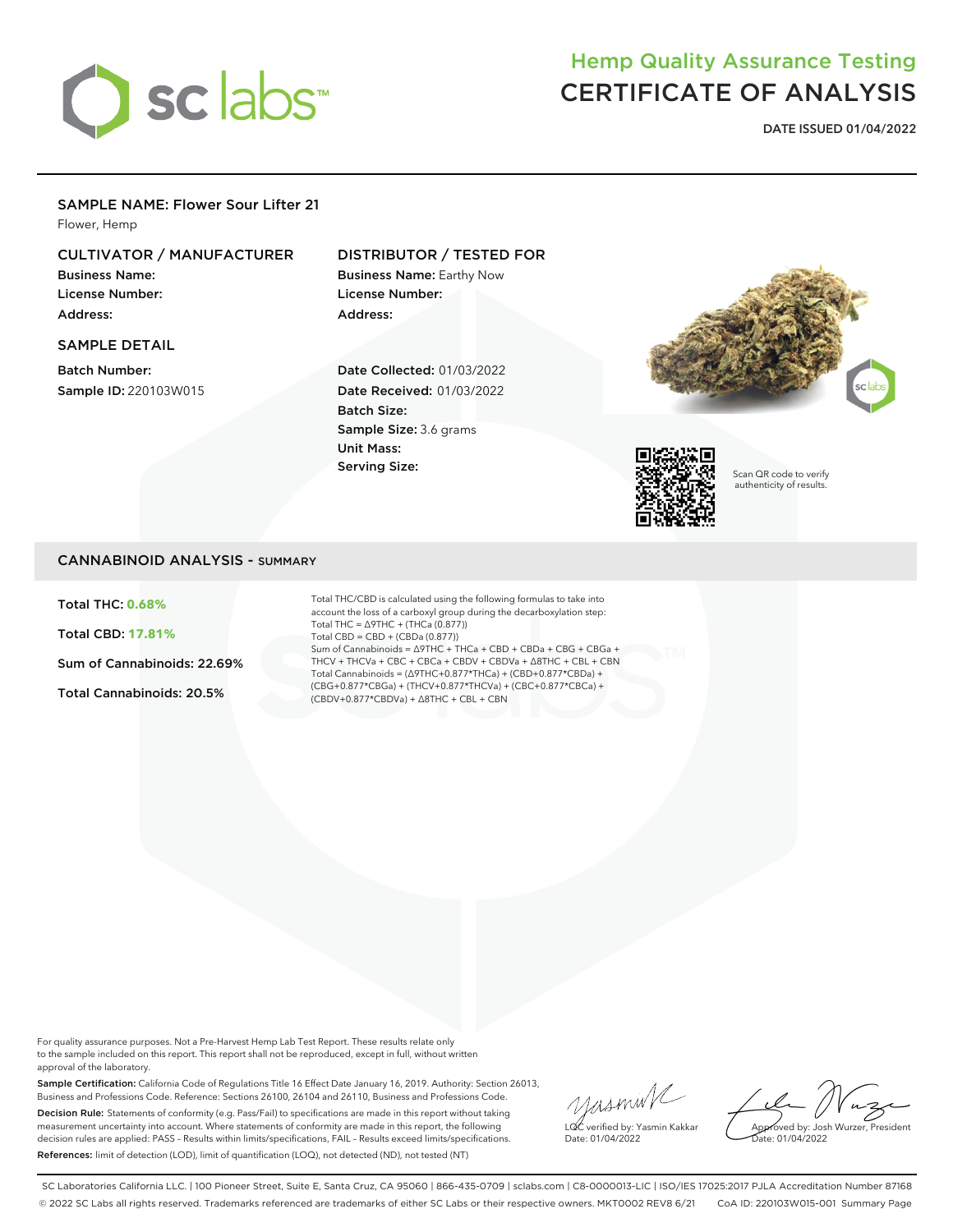

# Hemp Quality Assurance Testing CERTIFICATE OF ANALYSIS

**DATE ISSUED 01/04/2022**

#### SAMPLE NAME: Flower Sour Lifter 21

Flower, Hemp

# CULTIVATOR / MANUFACTURER

Business Name: License Number: Address:

#### SAMPLE DETAIL

Batch Number: Sample ID: 220103W015

## DISTRIBUTOR / TESTED FOR

Business Name: Earthy Now License Number: Address:

Date Collected: 01/03/2022 Date Received: 01/03/2022 Batch Size: Sample Size: 3.6 grams Unit Mass: Serving Size:





Scan QR code to verify authenticity of results.

## CANNABINOID ANALYSIS - SUMMARY

Total THC: **0.68%**

Total CBD: **17.81%**

Sum of Cannabinoids: 22.69%

Total Cannabinoids: 20.5%

Total THC/CBD is calculated using the following formulas to take into account the loss of a carboxyl group during the decarboxylation step: Total THC = ∆9THC + (THCa (0.877)) Total CBD = CBD + (CBDa (0.877)) Sum of Cannabinoids = ∆9THC + THCa + CBD + CBDa + CBG + CBGa + THCV + THCVa + CBC + CBCa + CBDV + CBDVa + ∆8THC + CBL + CBN Total Cannabinoids = (∆9THC+0.877\*THCa) + (CBD+0.877\*CBDa) + (CBG+0.877\*CBGa) + (THCV+0.877\*THCVa) + (CBC+0.877\*CBCa) + (CBDV+0.877\*CBDVa) + ∆8THC + CBL + CBN

For quality assurance purposes. Not a Pre-Harvest Hemp Lab Test Report. These results relate only to the sample included on this report. This report shall not be reproduced, except in full, without written approval of the laboratory.

Sample Certification: California Code of Regulations Title 16 Effect Date January 16, 2019. Authority: Section 26013, Business and Professions Code. Reference: Sections 26100, 26104 and 26110, Business and Professions Code. Decision Rule: Statements of conformity (e.g. Pass/Fail) to specifications are made in this report without taking measurement uncertainty into account. Where statements of conformity are made in this report, the following decision rules are applied: PASS – Results within limits/specifications, FAIL – Results exceed limits/specifications. References: limit of detection (LOD), limit of quantification (LOQ), not detected (ND), not tested (NT)

yusmink LQC verified by: Yasmin Kakkar Date: 01/04/2022

Approved by: Josh Wurzer, President Date: 01/04/2022

SC Laboratories California LLC. | 100 Pioneer Street, Suite E, Santa Cruz, CA 95060 | 866-435-0709 | sclabs.com | C8-0000013-LIC | ISO/IES 17025:2017 PJLA Accreditation Number 87168 © 2022 SC Labs all rights reserved. Trademarks referenced are trademarks of either SC Labs or their respective owners. MKT0002 REV8 6/21 CoA ID: 220103W015-001 Summary Page